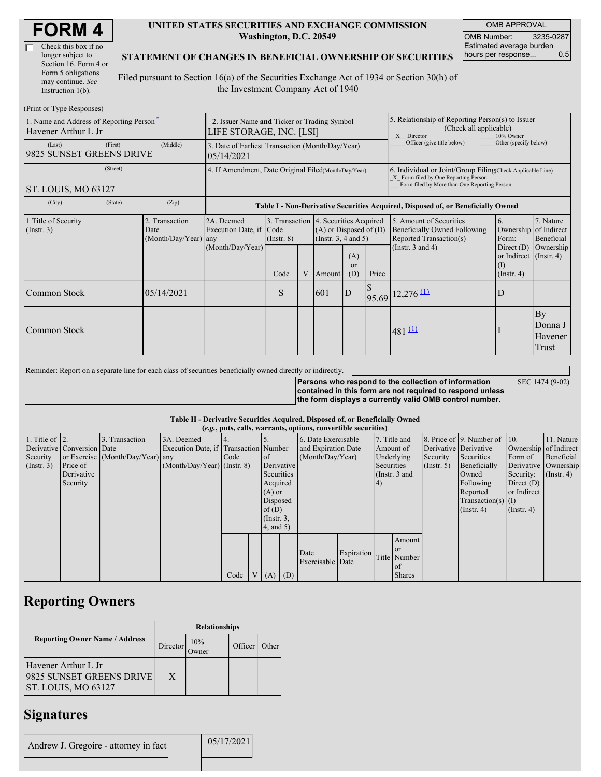| Check this box if no  |
|-----------------------|
| longer subject to     |
| Section 16. Form 4 or |
| Form 5 obligations    |
| may continue. See     |
| Instruction $1(b)$ .  |

#### **UNITED STATES SECURITIES AND EXCHANGE COMMISSION Washington, D.C. 20549**

OMB APPROVAL OMB Number: 3235-0287 Estimated average burden hours per response... 0.5

### **STATEMENT OF CHANGES IN BENEFICIAL OWNERSHIP OF SECURITIES**

Filed pursuant to Section 16(a) of the Securities Exchange Act of 1934 or Section 30(h) of the Investment Company Act of 1940

| (Print or Type Responses)                                       |                                                                |                                                |                                                                                  |                                                                  |   |                                                              |                            |                       |                                                                                                                                                    |                                                                                               |                                                     |  |
|-----------------------------------------------------------------|----------------------------------------------------------------|------------------------------------------------|----------------------------------------------------------------------------------|------------------------------------------------------------------|---|--------------------------------------------------------------|----------------------------|-----------------------|----------------------------------------------------------------------------------------------------------------------------------------------------|-----------------------------------------------------------------------------------------------|-----------------------------------------------------|--|
| 1. Name and Address of Reporting Person-<br>Havener Arthur L Jr |                                                                |                                                | 2. Issuer Name and Ticker or Trading Symbol<br>LIFE STORAGE, INC. [LSI]          |                                                                  |   |                                                              |                            |                       | 5. Relationship of Reporting Person(s) to Issuer<br>(Check all applicable)<br>X Director<br>10% Owner                                              |                                                                                               |                                                     |  |
| (Last)<br>9825 SUNSET GREENS DRIVE                              | 3. Date of Earliest Transaction (Month/Day/Year)<br>05/14/2021 |                                                |                                                                                  |                                                                  |   |                                                              | Officer (give title below) | Other (specify below) |                                                                                                                                                    |                                                                                               |                                                     |  |
| (Street)<br>ST. LOUIS, MO 63127                                 |                                                                |                                                | 4. If Amendment, Date Original Filed(Month/Day/Year)                             |                                                                  |   |                                                              |                            |                       | 6. Individual or Joint/Group Filing Check Applicable Line)<br>X Form filed by One Reporting Person<br>Form filed by More than One Reporting Person |                                                                                               |                                                     |  |
| (City)                                                          | (State)                                                        | (Zip)                                          | Table I - Non-Derivative Securities Acquired, Disposed of, or Beneficially Owned |                                                                  |   |                                                              |                            |                       |                                                                                                                                                    |                                                                                               |                                                     |  |
| 1. Title of Security<br>(Insert. 3)                             |                                                                | 2. Transaction<br>Date<br>(Month/Day/Year) any | 2A. Deemed<br>Execution Date, if Code<br>(Month/Day/Year)                        | 3. Transaction 4. Securities Acquired<br>$($ Instr. $8)$<br>Code | V | $(A)$ or Disposed of $(D)$<br>(Insert. 3, 4 and 5)<br>Amount | (A)<br>$\alpha$<br>(D)     | Price                 | 5. Amount of Securities<br><b>Beneficially Owned Following</b><br>Reported Transaction(s)<br>(Instr. $3$ and $4$ )                                 | 6.<br>Ownership<br>Form:<br>Direct $(D)$<br>or Indirect (Instr. 4)<br>(I)<br>$($ Instr. 4 $)$ | 7. Nature<br>of Indirect<br>Beneficial<br>Ownership |  |
| Common Stock                                                    |                                                                | 05/14/2021                                     |                                                                                  | S                                                                |   | 601                                                          | $\mathbf{D}$               |                       | $95.69$ <sup>12,276</sup> <sup>(1)</sup>                                                                                                           | D                                                                                             |                                                     |  |
| Common Stock                                                    |                                                                |                                                |                                                                                  |                                                                  |   |                                                              |                            |                       | $481 \underline{11}$                                                                                                                               |                                                                                               | By<br>Donna J<br>Havener<br>Trust                   |  |

Reminder: Report on a separate line for each class of securities beneficially owned directly or indirectly.

SEC 1474 (9-02)

**Persons who respond to the collection of information contained in this form are not required to respond unless the form displays a currently valid OMB control number.**

### **Table II - Derivative Securities Acquired, Disposed of, or Beneficially Owned**

| (e.g., puts, calls, warrants, options, convertible securities) |                            |                                  |                                       |      |              |                 |                     |                          |            |               |                       |             |                              |                  |                      |
|----------------------------------------------------------------|----------------------------|----------------------------------|---------------------------------------|------|--------------|-----------------|---------------------|--------------------------|------------|---------------|-----------------------|-------------|------------------------------|------------------|----------------------|
| 1. Title of $\vert$ 2.                                         |                            | 3. Transaction                   | 3A. Deemed                            |      |              |                 |                     | 6. Date Exercisable      |            |               | 7. Title and          |             | 8. Price of 9. Number of 10. |                  | 11. Nature           |
|                                                                | Derivative Conversion Date |                                  | Execution Date, if Transaction Number |      |              |                 | and Expiration Date |                          | Amount of  |               | Derivative Derivative |             | Ownership of Indirect        |                  |                      |
| Security                                                       |                            | or Exercise (Month/Day/Year) any |                                       | Code |              | $\circ$ f       |                     | (Month/Day/Year)         |            | Underlying    |                       | Security    | Securities                   | Form of          | Beneficial           |
| $($ Instr. 3 $)$                                               | Price of                   |                                  | $(Month/Day/Year)$ (Instr. 8)         |      |              | Derivative      |                     |                          |            | Securities    |                       | (Insert. 5) | Beneficially                 |                  | Derivative Ownership |
|                                                                | Derivative                 |                                  |                                       |      |              | Securities      |                     |                          |            | (Instr. 3 and |                       |             | Owned                        | Security:        | $($ Instr. 4 $)$     |
|                                                                | Security                   |                                  |                                       |      |              | Acquired        |                     |                          |            | $\vert 4)$    |                       |             | Following                    | Direct $(D)$     |                      |
|                                                                |                            |                                  |                                       |      |              | $(A)$ or        |                     |                          |            |               |                       |             | Reported                     | or Indirect      |                      |
|                                                                |                            |                                  |                                       |      |              | Disposed        |                     |                          |            |               |                       |             | $Transaction(s)$ (I)         |                  |                      |
|                                                                |                            |                                  |                                       |      |              | of $(D)$        |                     |                          |            |               |                       |             | $($ Instr. 4 $)$             | $($ Instr. 4 $)$ |                      |
|                                                                |                            |                                  |                                       |      |              | $($ Instr. $3,$ |                     |                          |            |               |                       |             |                              |                  |                      |
|                                                                |                            |                                  |                                       |      |              | 4, and 5)       |                     |                          |            |               |                       |             |                              |                  |                      |
|                                                                |                            |                                  |                                       |      |              |                 |                     |                          |            |               | Amount                |             |                              |                  |                      |
|                                                                |                            |                                  |                                       |      |              |                 |                     |                          |            |               | <b>or</b>             |             |                              |                  |                      |
|                                                                |                            |                                  |                                       |      |              |                 |                     | Date<br>Exercisable Date | Expiration |               | Title Number          |             |                              |                  |                      |
|                                                                |                            |                                  |                                       |      |              |                 |                     |                          |            |               | of                    |             |                              |                  |                      |
|                                                                |                            |                                  |                                       | Code | $\mathbf{V}$ | $(A)$ $(D)$     |                     |                          |            |               | <b>Shares</b>         |             |                              |                  |                      |

## **Reporting Owners**

|                                                                        | <b>Relationships</b> |                      |         |       |  |  |  |
|------------------------------------------------------------------------|----------------------|----------------------|---------|-------|--|--|--|
| <b>Reporting Owner Name / Address</b>                                  | Director             | 10%<br><b>D</b> wner | Officer | Other |  |  |  |
| Havener Arthur L Jr<br>9825 SUNSET GREENS DRIVE<br>ST. LOUIS, MO 63127 | X                    |                      |         |       |  |  |  |

### **Signatures**

| Andrew J. Gregoire - attorney in fact | 05/17/2021 |
|---------------------------------------|------------|
|                                       |            |